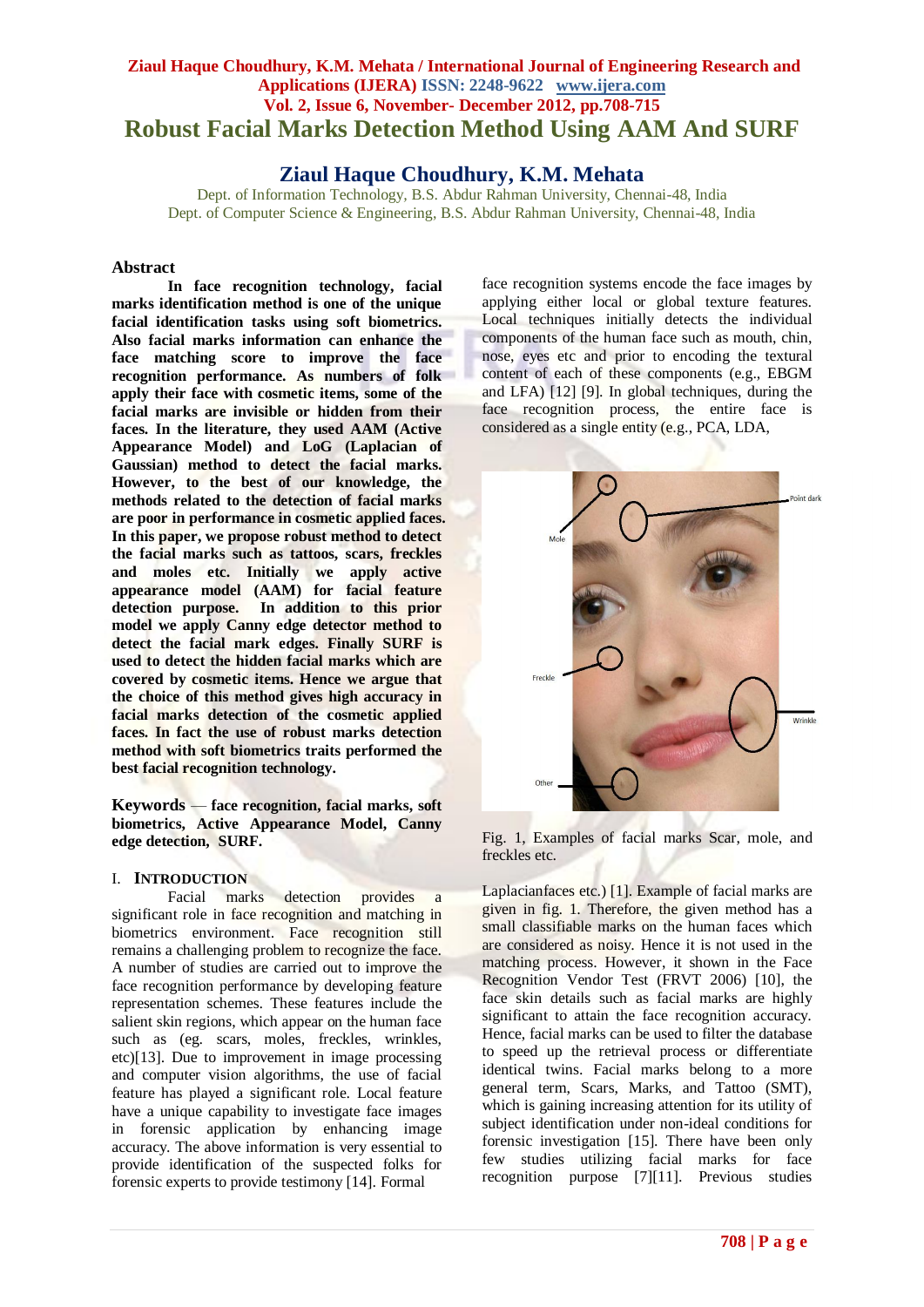# **Ziaul Haque Choudhury, K.M. Mehata / International Journal of Engineering Research and Applications (IJERA) ISSN: 2248-9622 www.ijera.com Vol. 2, Issue 6, November- December 2012, pp.708-715 Robust Facial Marks Detection Method Using AAM And SURF**

# **Ziaul Haque Choudhury, K.M. Mehata**

Dept. of Information Technology*,* B.S. Abdur Rahman University, Chennai-48, India Dept. of Computer Science & Engineering, B.S. Abdur Rahman University, Chennai-48, India

# **Abstract**

**In face recognition technology, facial marks identification method is one of the unique facial identification tasks using soft biometrics. Also facial marks information can enhance the face matching score to improve the face recognition performance. As numbers of folk apply their face with cosmetic items, some of the facial marks are invisible or hidden from their faces. In the literature, they used AAM (Active Appearance Model) and LoG (Laplacian of Gaussian) method to detect the facial marks. However, to the best of our knowledge, the methods related to the detection of facial marks are poor in performance in cosmetic applied faces. In this paper, we propose robust method to detect the facial marks such as tattoos, scars, freckles and moles etc. Initially we apply active appearance model (AAM) for facial feature detection purpose. In addition to this prior model we apply Canny edge detector method to detect the facial mark edges. Finally SURF is used to detect the hidden facial marks which are covered by cosmetic items. Hence we argue that the choice of this method gives high accuracy in facial marks detection of the cosmetic applied faces. In fact the use of robust marks detection method with soft biometrics traits performed the best facial recognition technology.**

**Keywords** — **face recognition, facial marks, soft biometrics, Active Appearance Model, Canny edge detection, SURF.**

### I. **INTRODUCTION**

Facial marks detection provides a significant role in face recognition and matching in biometrics environment. Face recognition still remains a challenging problem to recognize the face. A number of studies are carried out to improve the face recognition performance by developing feature representation schemes. These features include the salient skin regions, which appear on the human face such as (eg. scars, moles, freckles, wrinkles, etc)[13]. Due to improvement in image processing and computer vision algorithms, the use of facial feature has played a significant role. Local feature have a unique capability to investigate face images in forensic application by enhancing image accuracy. The above information is very essential to provide identification of the suspected folks for forensic experts to provide testimony [14]. Formal

face recognition systems encode the face images by applying either local or global texture features. Local techniques initially detects the individual components of the human face such as mouth, chin, nose, eyes etc and prior to encoding the textural content of each of these components (e.g., EBGM and LFA) [12] [9]. In global techniques, during the face recognition process, the entire face is considered as a single entity (e.g., PCA, LDA,



Fig. 1, Examples of facial marks Scar, mole, and freckles etc.

Laplacianfaces etc.) [1]. Example of facial marks are given in fig. 1. Therefore, the given method has a small classifiable marks on the human faces which are considered as noisy. Hence it is not used in the matching process. However, it shown in the Face Recognition Vendor Test (FRVT 2006) [10], the face skin details such as facial marks are highly significant to attain the face recognition accuracy. Hence, facial marks can be used to filter the database to speed up the retrieval process or differentiate identical twins. Facial marks belong to a more general term, Scars, Marks, and Tattoo (SMT), which is gaining increasing attention for its utility of subject identification under non-ideal conditions for forensic investigation [15]. There have been only few studies utilizing facial marks for face recognition purpose [7][11]. Previous studies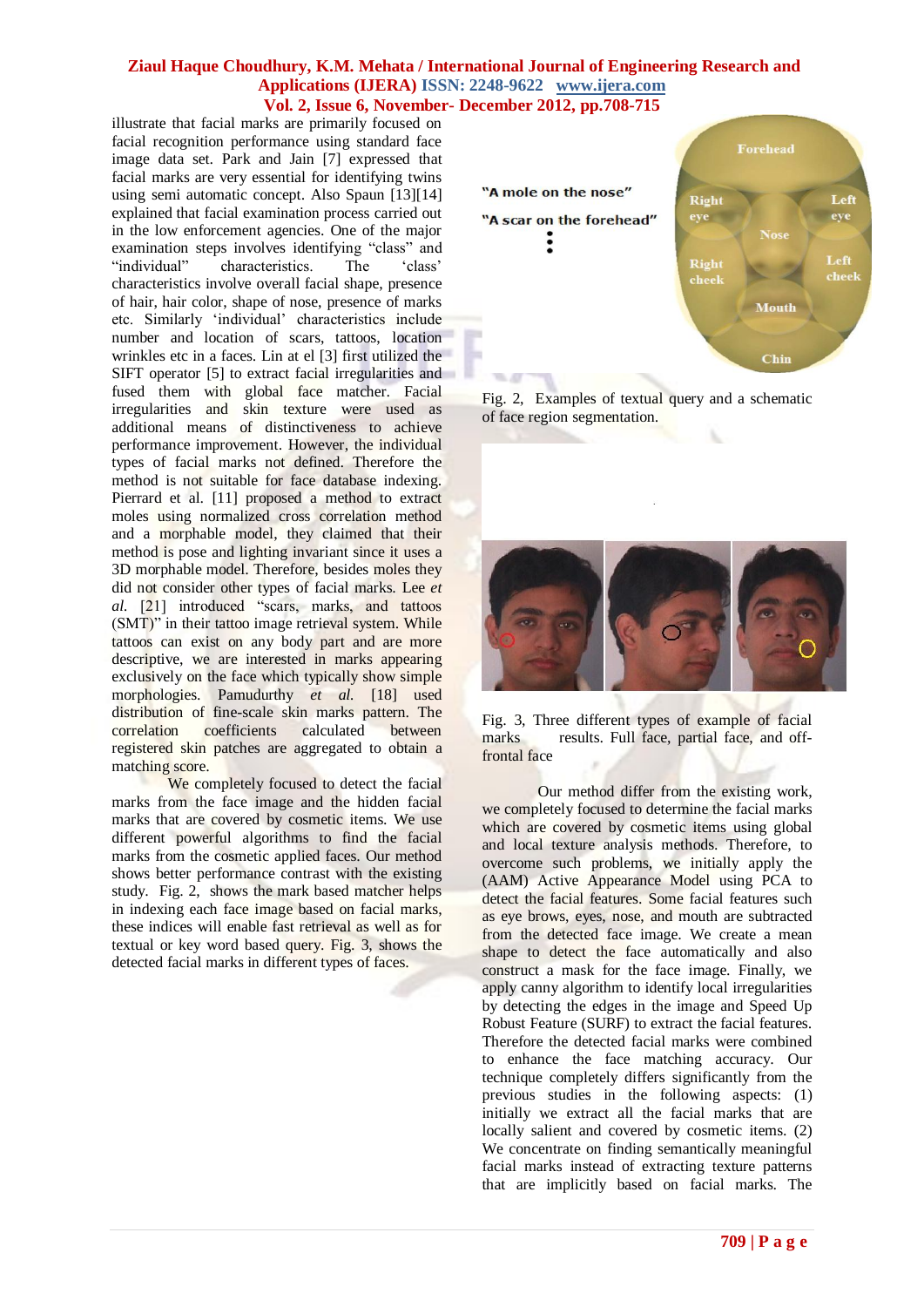illustrate that facial marks are primarily focused on facial recognition performance using standard face image data set. Park and Jain [7] expressed that facial marks are very essential for identifying twins using semi automatic concept. Also Spaun [13][14] explained that facial examination process carried out in the low enforcement agencies. One of the major examination steps involves identifying "class" and "individual" characteristics. The 'class' characteristics involve overall facial shape, presence of hair, hair color, shape of nose, presence of marks etc. Similarly ‗individual' characteristics include number and location of scars, tattoos, location wrinkles etc in a faces. Lin at el [3] first utilized the SIFT operator [5] to extract facial irregularities and fused them with global face matcher. Facial irregularities and skin texture were used as additional means of distinctiveness to achieve performance improvement. However, the individual types of facial marks not defined. Therefore the method is not suitable for face database indexing. Pierrard et al. [11] proposed a method to extract moles using normalized cross correlation method and a morphable model, they claimed that their method is pose and lighting invariant since it uses a 3D morphable model. Therefore, besides moles they did not consider other types of facial marks. Lee *et al.* [21] introduced "scars, marks, and tattoos (SMT)" in their tattoo image retrieval system. While tattoos can exist on any body part and are more descriptive, we are interested in marks appearing exclusively on the face which typically show simple morphologies. Pamudurthy *et al.* [18] used distribution of fine-scale skin marks pattern. The correlation coefficients calculated between registered skin patches are aggregated to obtain a matching score.

We completely focused to detect the facial marks from the face image and the hidden facial marks that are covered by cosmetic items. We use different powerful algorithms to find the facial marks from the cosmetic applied faces. Our method shows better performance contrast with the existing study. Fig. 2, shows the mark based matcher helps in indexing each face image based on facial marks, these indices will enable fast retrieval as well as for textual or key word based query. Fig. 3, shows the detected facial marks in different types of faces.



Fig. 2, Examples of textual query and a schematic of face region segmentation.



Fig. 3, Three different types of example of facial marks results. Full face, partial face, and offfrontal face

Our method differ from the existing work, we completely focused to determine the facial marks which are covered by cosmetic items using global and local texture analysis methods. Therefore, to overcome such problems, we initially apply the (AAM) Active Appearance Model using PCA to detect the facial features. Some facial features such as eye brows, eyes, nose, and mouth are subtracted from the detected face image. We create a mean shape to detect the face automatically and also construct a mask for the face image. Finally, we apply canny algorithm to identify local irregularities by detecting the edges in the image and Speed Up Robust Feature (SURF) to extract the facial features. Therefore the detected facial marks were combined to enhance the face matching accuracy. Our technique completely differs significantly from the previous studies in the following aspects: (1) initially we extract all the facial marks that are locally salient and covered by cosmetic items. (2) We concentrate on finding semantically meaningful facial marks instead of extracting texture patterns that are implicitly based on facial marks. The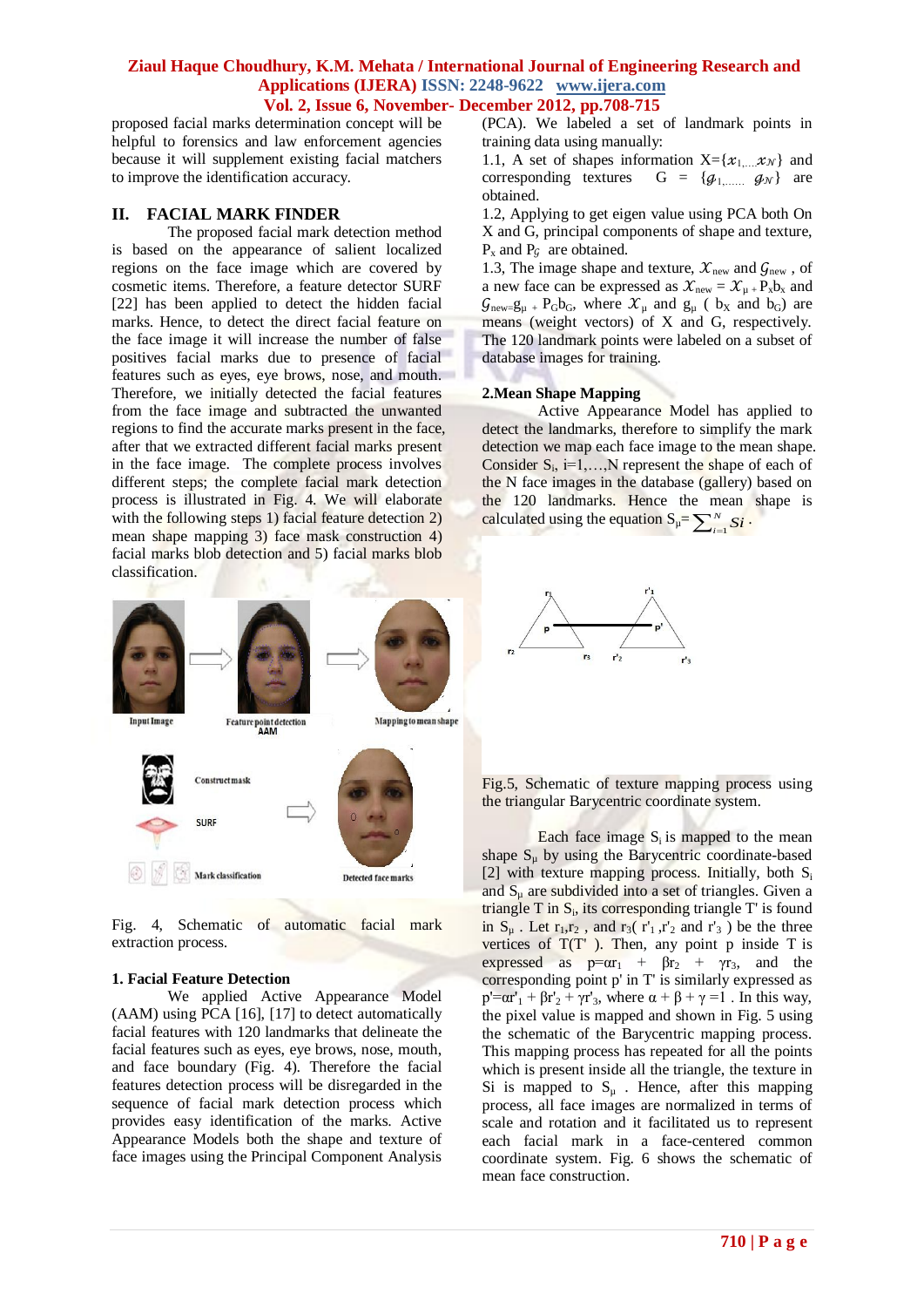proposed facial marks determination concept will be helpful to forensics and law enforcement agencies because it will supplement existing facial matchers to improve the identification accuracy.

### **II. FACIAL MARK FINDER**

The proposed facial mark detection method is based on the appearance of salient localized regions on the face image which are covered by cosmetic items. Therefore, a feature detector SURF [22] has been applied to detect the hidden facial marks. Hence, to detect the direct facial feature on the face image it will increase the number of false positives facial marks due to presence of facial features such as eyes, eye brows, nose, and mouth. Therefore, we initially detected the facial features from the face image and subtracted the unwanted regions to find the accurate marks present in the face, after that we extracted different facial marks present in the face image. The complete process involves different steps; the complete facial mark detection process is illustrated in Fig. 4. We will elaborate with the following steps 1) facial feature detection 2) mean shape mapping 3) face mask construction 4) facial marks blob detection and 5) facial marks blob classification.



Fig. 4, Schematic of automatic facial mark extraction process.

#### **1. Facial Feature Detection**

We applied Active Appearance Model (AAM) using PCA [16], [17] to detect automatically facial features with 120 landmarks that delineate the facial features such as eyes, eye brows, nose, mouth, and face boundary (Fig. 4). Therefore the facial features detection process will be disregarded in the sequence of facial mark detection process which provides easy identification of the marks. Active Appearance Models both the shape and texture of face images using the Principal Component Analysis

(PCA). We labeled a set of landmark points in training data using manually:

1.1, A set of shapes information  $X = \{x_1,...,x_N\}$  and corresponding textures  $G = \{q_1, \ldots, q_N\}$  are obtained.

1.2, Applying to get eigen value using PCA both On X and G, principal components of shape and texture,  $P_x$  and  $P_y$  are obtained.

1.3, The image shape and texture,  $\mathcal{X}_{\text{new}}$  and  $\mathcal{G}_{\text{new}}$ , of a new face can be expressed as  $\mathcal{X}_{new} = \mathcal{X}_{\mu} + P_x b_x$  and  $\mathcal{G}_{\text{new}}=g_{\mu} + P_{G}b_{G}$ , where  $\mathcal{X}_{\mu}$  and  $g_{\mu}$  (  $b_{X}$  and  $b_{G}$ ) are means (weight vectors) of X and G, respectively. The 120 landmark points were labeled on a subset of database images for training.

#### **2.Mean Shape Mapping**

Active Appearance Model has applied to detect the landmarks, therefore to simplify the mark detection we map each face image to the mean shape. Consider  $S_i$ , i=1,..., N represent the shape of each of the N face images in the database (gallery) based on the 120 landmarks. Hence the mean shape is calculated using the equation  $S_{\mu} = \sum_{i=1}^{N}$ *N*  $\sum_{i=1}^N Si$ .



Fig.5, Schematic of texture mapping process using the triangular Barycentric coordinate system.

Each face image  $S_i$  is mapped to the mean shape  $S_{\mu}$  by using the Barycentric coordinate-based [2] with texture mapping process. Initially, both  $S_i$ and  $S_{\mu}$  are subdivided into a set of triangles. Given a triangle  $T$  in  $S_i$ , its corresponding triangle  $T'$  is found in  $S_{\mu}$ . Let  $r_1, r_2$ , and  $r_3(r'_1, r'_2)$  and  $r'_3$ ) be the three vertices of  $T(T)$ . Then, any point p inside T is expressed as  $p=ar_1 + \beta r_2 + \gamma r_3$ , and the corresponding point p' in T' is similarly expressed as  $p' = \alpha r'_1 + \beta r'_2 + \gamma r'_3$ , where  $\alpha + \beta + \gamma = 1$ . In this way, the pixel value is mapped and shown in Fig. 5 using the schematic of the Barycentric mapping process. This mapping process has repeated for all the points which is present inside all the triangle, the texture in Si is mapped to  $S_u$ . Hence, after this mapping process, all face images are normalized in terms of scale and rotation and it facilitated us to represent each facial mark in a face-centered common coordinate system. Fig. 6 shows the schematic of mean face construction.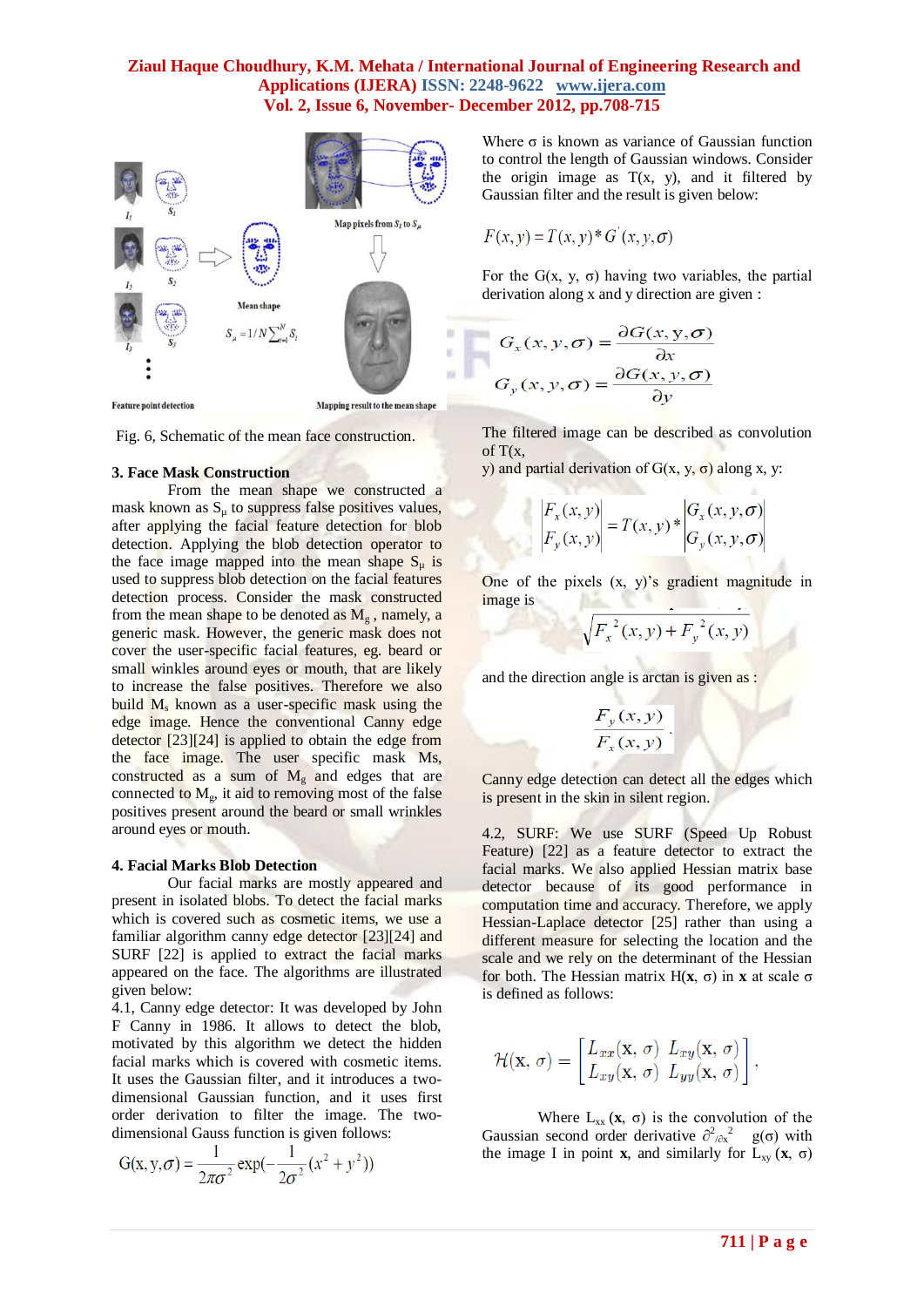

**Feature point detection** 

Mapping result to the mean shape

Fig. 6, Schematic of the mean face construction.

#### **3. Face Mask Construction**

From the mean shape we constructed a mask known as  $S<sub>u</sub>$  to suppress false positives values, after applying the facial feature detection for blob detection. Applying the blob detection operator to the face image mapped into the mean shape  $S_u$  is used to suppress blob detection on the facial features detection process. Consider the mask constructed from the mean shape to be denoted as  $M<sub>g</sub>$ , namely, a generic mask. However, the generic mask does not cover the user-specific facial features, eg. beard or small winkles around eyes or mouth, that are likely to increase the false positives. Therefore we also build  $M_s$  known as a user-specific mask using the edge image. Hence the conventional Canny edge detector [23][24] is applied to obtain the edge from the face image. The user specific mask Ms, constructed as a sum of  $M<sub>g</sub>$  and edges that are connected to  $M_g$ , it aid to removing most of the false positives present around the beard or small wrinkles around eyes or mouth.

#### **4. Facial Marks Blob Detection**

Our facial marks are mostly appeared and present in isolated blobs. To detect the facial marks which is covered such as cosmetic items, we use a familiar algorithm canny edge detector [23][24] and SURF [22] is applied to extract the facial marks appeared on the face. The algorithms are illustrated given below:

4.1, Canny edge detector: It was developed by John F Canny in 1986. It allows to detect the blob, motivated by this algorithm we detect the hidden facial marks which is covered with cosmetic items. It uses the Gaussian filter, and it introduces a twodimensional Gaussian function, and it uses first order derivation to filter the image. The twodimensional Gauss function is given follows:

$$
G(x, y, \sigma) = \frac{1}{2\pi\sigma^2} \exp(-\frac{1}{2\sigma^2}(x^2 + y^2))
$$

Where  $\sigma$  is known as variance of Gaussian function to control the length of Gaussian windows. Consider the origin image as  $T(x, y)$ , and it filtered by Gaussian filter and the result is given below:

$$
F(x, y) = T(x, y)^* G'(x, y, \sigma)
$$

For the  $G(x, y, \sigma)$  having two variables, the partial derivation along x and y direction are given :

$$
G_x(x, y, \sigma) = \frac{\partial G(x, y, \sigma)}{\partial x}
$$

$$
G_y(x, y, \sigma) = \frac{\partial G(x, y, \sigma)}{\partial y}
$$

The filtered image can be described as convolution of T(x,

y) and partial derivation of  $G(x, y, σ)$  along x, y:

$$
\begin{vmatrix} F_x(x, y) \\ F_y(x, y) \end{vmatrix} = T(x, y) * \begin{vmatrix} G_x(x, y, \sigma) \\ G_y(x, y, \sigma) \end{vmatrix}
$$

One of the pixels (x, y)'s gradient magnitude in image is

$$
\sqrt{{F_x}^2(x, y) + {F_y}^2(x, y)}
$$

and the direction angle is arctan is given as :

$$
\frac{F_y(x, y)}{F_x(x, y)}.
$$

Canny edge detection can detect all the edges which is present in the skin in silent region.

4.2, SURF: We use SURF (Speed Up Robust Feature) [22] as a feature detector to extract the facial marks. We also applied Hessian matrix base detector because of its good performance in computation time and accuracy. Therefore, we apply Hessian-Laplace detector [25] rather than using a different measure for selecting the location and the scale and we rely on the determinant of the Hessian for both. The Hessian matrix H(**x**, σ) in **x** at scale σ is defined as follows:

$$
\mathcal{H}(\mathbf{x}, \sigma) = \begin{bmatrix} L_{xx}(\mathbf{x}, \sigma) & L_{xy}(\mathbf{x}, \sigma) \\ L_{xy}(\mathbf{x}, \sigma) & L_{yy}(\mathbf{x}, \sigma) \end{bmatrix},
$$

Where  $L_{xx}$  ( $\mathbf{x}, \sigma$ ) is the convolution of the Gaussian second order derivative  $\partial^2_{\partial x}$ <sup>2</sup> g(σ) with the image I in point **x**, and similarly for  $L_{xy}$  (**x**,  $\sigma$ )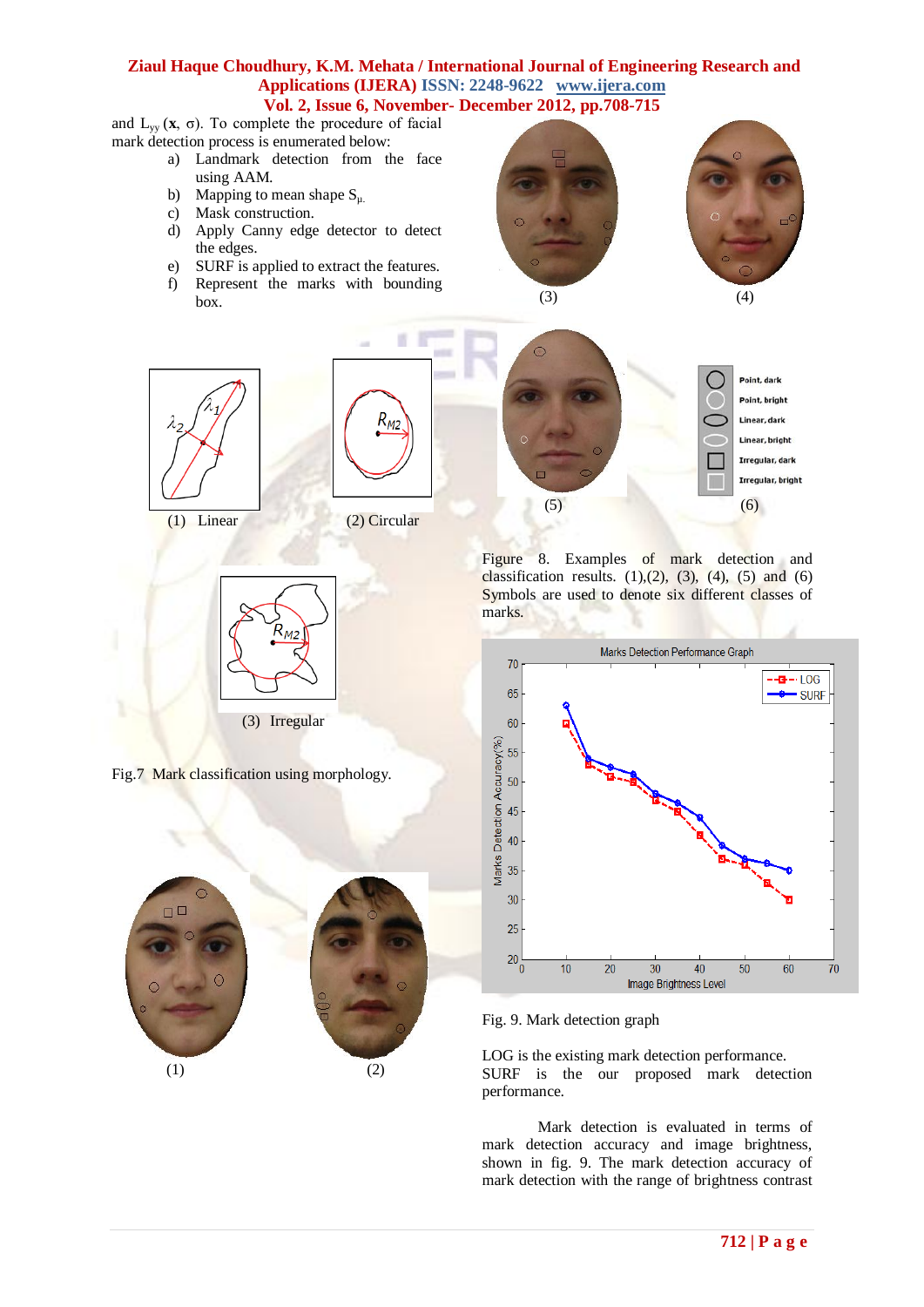and  $L_{yy}$  (**x**,  $\sigma$ ). To complete the procedure of facial mark detection process is enumerated below:

- a) Landmark detection from the face using AAM.
- b) Mapping to mean shape  $S_{\mu}$ .
- c) Mask construction.
- d) Apply Canny edge detector to detect the edges.
- e) SURF is applied to extract the features.
- f) Represent the marks with bounding box.









Fig.7 Mark classification using morphology.







Figure 8. Examples of mark detection and classification results.  $(1),(2)$ ,  $(3)$ ,  $(4)$ ,  $(5)$  and  $(6)$ Symbols are used to denote six different classes of marks.



Fig. 9. Mark detection graph

LOG is the existing mark detection performance. SURF is the our proposed mark detection performance.

Mark detection is evaluated in terms of mark detection accuracy and image brightness, shown in fig. 9. The mark detection accuracy of mark detection with the range of brightness contrast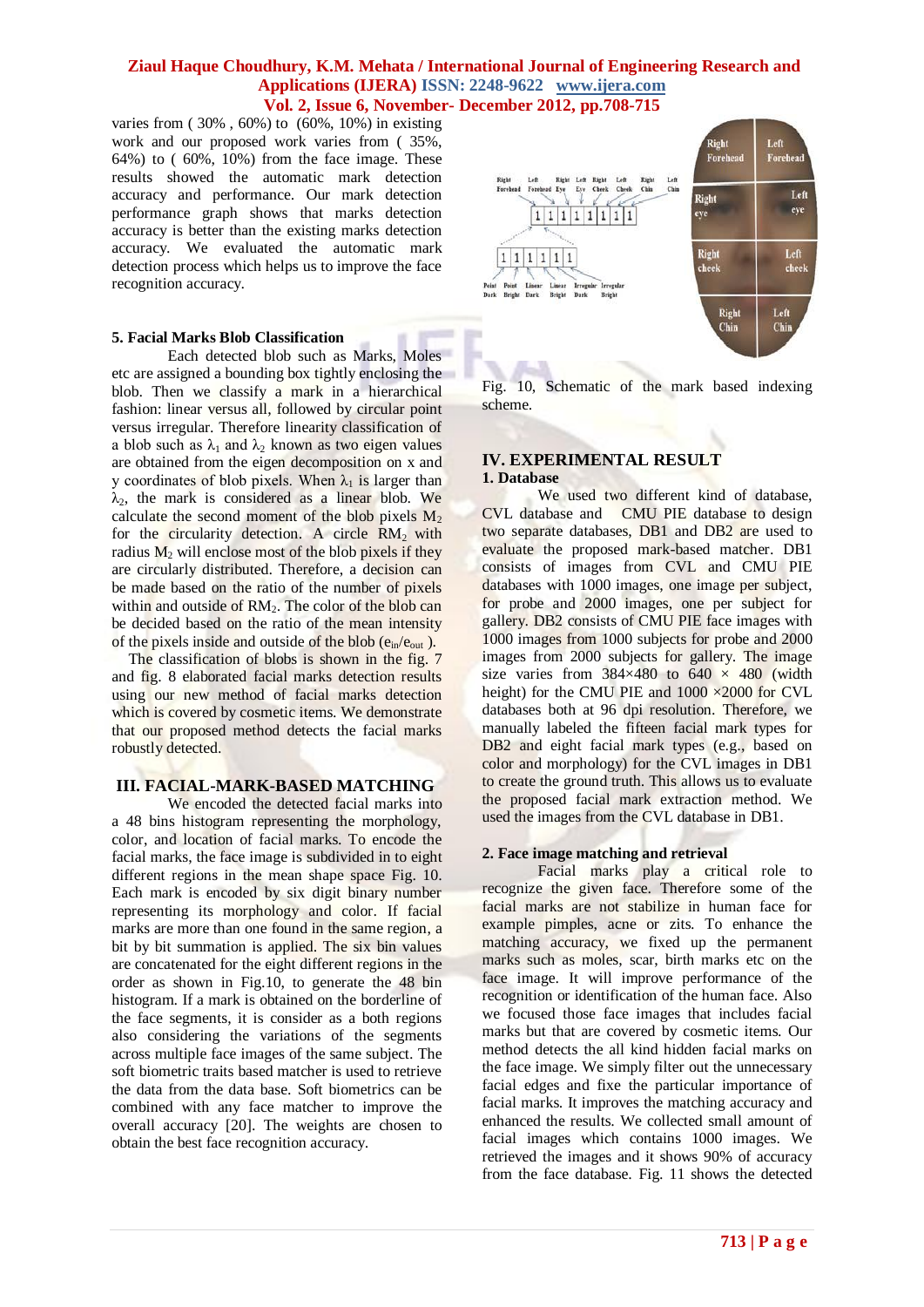varies from ( 30% , 60%) to (60%, 10%) in existing work and our proposed work varies from ( 35%, 64%) to  $(60\%, 10\%)$  from the face image. These results showed the automatic mark detection accuracy and performance. Our mark detection performance graph shows that marks detection accuracy is better than the existing marks detection accuracy. We evaluated the automatic mark detection process which helps us to improve the face recognition accuracy.

### **5. Facial Marks Blob Classification**

Each detected blob such as Marks, Moles etc are assigned a bounding box tightly enclosing the blob. Then we classify a mark in a hierarchical fashion: linear versus all, followed by circular point versus irregular. Therefore linearity classification of a blob such as  $\lambda_1$  and  $\lambda_2$  known as two eigen values are obtained from the eigen decomposition on x and y coordinates of blob pixels. When  $\lambda_1$  is larger than  $\lambda_2$ , the mark is considered as a linear blob. We calculate the second moment of the blob pixels  $M_2$ for the circularity detection. A circle  $RM_2$  with radius  $M_2$  will enclose most of the blob pixels if they are circularly distributed. Therefore, a decision can be made based on the ratio of the number of pixels within and outside of  $RM<sub>2</sub>$ . The color of the blob can be decided based on the ratio of the mean intensity of the pixels inside and outside of the blob  $(e_{in}/e_{out})$ .

The classification of blobs is shown in the fig. 7 and fig. 8 elaborated facial marks detection results using our new method of facial marks detection which is covered by cosmetic items. We demonstrate that our proposed method detects the facial marks robustly detected.

### **III. FACIAL-MARK-BASED MATCHING**

We encoded the detected facial marks into a 48 bins histogram representing the morphology, color, and location of facial marks. To encode the facial marks, the face image is subdivided in to eight different regions in the mean shape space Fig. 10. Each mark is encoded by six digit binary number representing its morphology and color. If facial marks are more than one found in the same region, a bit by bit summation is applied. The six bin values are concatenated for the eight different regions in the order as shown in Fig.10, to generate the 48 bin histogram. If a mark is obtained on the borderline of the face segments, it is consider as a both regions also considering the variations of the segments across multiple face images of the same subject. The soft biometric traits based matcher is used to retrieve the data from the data base. Soft biometrics can be combined with any face matcher to improve the overall accuracy [20]. The weights are chosen to obtain the best face recognition accuracy.



Fig. 10, Schematic of the mark based indexing scheme.

# **IV. EXPERIMENTAL RESULT 1. Database**

We used two different kind of database, CVL database and CMU PIE database to design two separate databases, DB1 and DB2 are used to evaluate the proposed mark-based matcher. DB1 consists of images from CVL and CMU PIE databases with 1000 images, one image per subject, for probe and 2000 images, one per subject for gallery. DB2 consists of CMU PIE face images with 1000 images from 1000 subjects for probe and 2000 images from 2000 subjects for gallery. The image size varies from  $384\times480$  to  $640 \times 480$  (width height) for the CMU PIE and 1000  $\times$ 2000 for CVL databases both at 96 dpi resolution. Therefore, we manually labeled the fifteen facial mark types for DB2 and eight facial mark types (e.g., based on color and morphology) for the CVL images in DB1 to create the ground truth. This allows us to evaluate the proposed facial mark extraction method. We used the images from the CVL database in DB1.

### **2. Face image matching and retrieval**

Facial marks play a critical role to recognize the given face. Therefore some of the facial marks are not stabilize in human face for example pimples, acne or zits. To enhance the matching accuracy, we fixed up the permanent marks such as moles, scar, birth marks etc on the face image. It will improve performance of the recognition or identification of the human face. Also we focused those face images that includes facial marks but that are covered by cosmetic items. Our method detects the all kind hidden facial marks on the face image. We simply filter out the unnecessary facial edges and fixe the particular importance of facial marks. It improves the matching accuracy and enhanced the results. We collected small amount of facial images which contains 1000 images. We retrieved the images and it shows 90% of accuracy from the face database. Fig. 11 shows the detected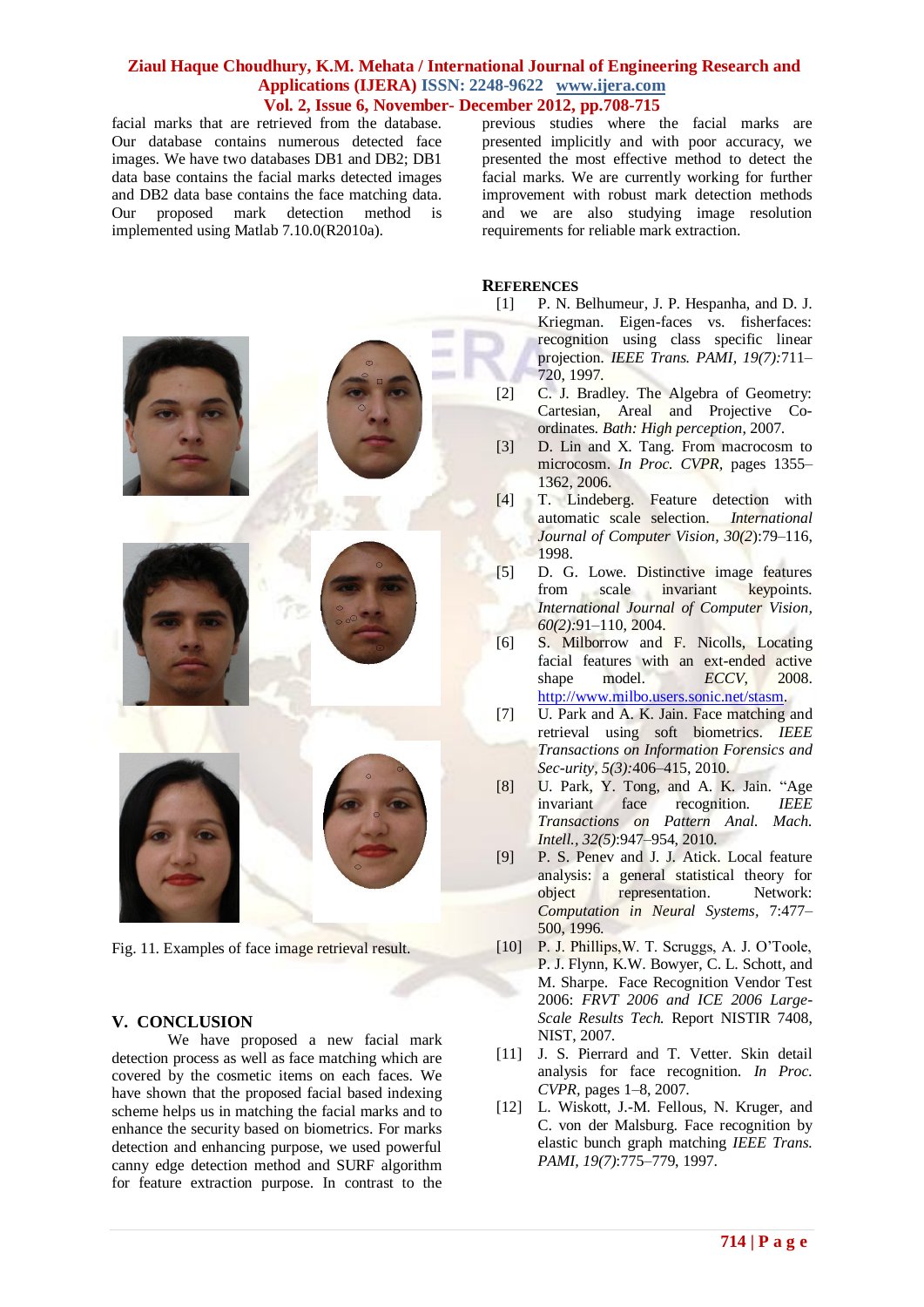facial marks that are retrieved from the database. Our database contains numerous detected face images. We have two databases DB1 and DB2; DB1 data base contains the facial marks detected images and DB2 data base contains the face matching data. Our proposed mark detection method is implemented using Matlab 7.10.0(R2010a).

previous studies where the facial marks are presented implicitly and with poor accuracy, we presented the most effective method to detect the facial marks. We are currently working for further improvement with robust mark detection methods and we are also studying image resolution requirements for reliable mark extraction.

# **REFERENCES**

- [1] P. N. Belhumeur, J. P. Hespanha, and D. J. Kriegman. Eigen-faces vs. fisherfaces: recognition using class specific linear projection*. IEEE Trans. PAMI, 19(7):*711– 720, 1997.
- [2] C. J. Bradley. The Algebra of Geometry: Cartesian, Areal and Projective Coordinates*. Bath: High perception*, 2007.
- [3] D. Lin and X. Tang. From macrocosm to microcosm. *In Proc. CVPR,* pages 1355– 1362, 2006.
- [4] T. Lindeberg. Feature detection with automatic scale selection. *International Journal of Computer Vision, 30(2*):79–116, 1998.
- [5] D. G. Lowe. Distinctive image features from scale invariant keypoints*. International Journal of Computer Vision, 60(2):*91–110, 2004.
- [6] S. Milborrow and F. Nicolls, Locating facial features with an ext-ended active shape model. *ECCV*, 2008. [http://www.milbo.users.sonic.net/stasm.](http://www.milbo.users.sonic.net/stasm)
- [7] U. Park and A. K. Jain. Face matching and retrieval using soft biometrics. *IEEE Transactions on Information Forensics and Sec-urity, 5(3):*406–415, 2010.
- [8] U. Park, Y. Tong, and A. K. Jain. "Age invariant face recognition*. IEEE Transactions on Pattern Anal. Mach. Intell., 32(5)*:947–954, 2010.
- [9] P. S. Penev and J. J. Atick. Local feature analysis: a general statistical theory for object representation. Network: *Computation in Neural Systems,* 7:477– 500, 1996.
- [10] P. J. Phillips, W. T. Scruggs, A. J. O'Toole, P. J. Flynn, K.W. Bowyer, C. L. Schott, and M. Sharpe. Face Recognition Vendor Test 2006: *FRVT 2006 and ICE 2006 Large-Scale Results Tech.* Report NISTIR 7408, NIST, 2007.
- [11] J. S. Pierrard and T. Vetter. Skin detail analysis for face recognition*. In Proc. CVPR,* pages 1–8, 2007.
- [12] L. Wiskott, J.-M. Fellous, N. Kruger, and C. von der Malsburg. Face recognition by elastic bunch graph matching *IEEE Trans. PAMI, 19(7)*:775–779, 1997.

# **V. CONCLUSION**

We have proposed a new facial mark detection process as well as face matching which are covered by the cosmetic items on each faces. We have shown that the proposed facial based indexing scheme helps us in matching the facial marks and to enhance the security based on biometrics. For marks detection and enhancing purpose, we used powerful canny edge detection method and SURF algorithm for feature extraction purpose. In contrast to the